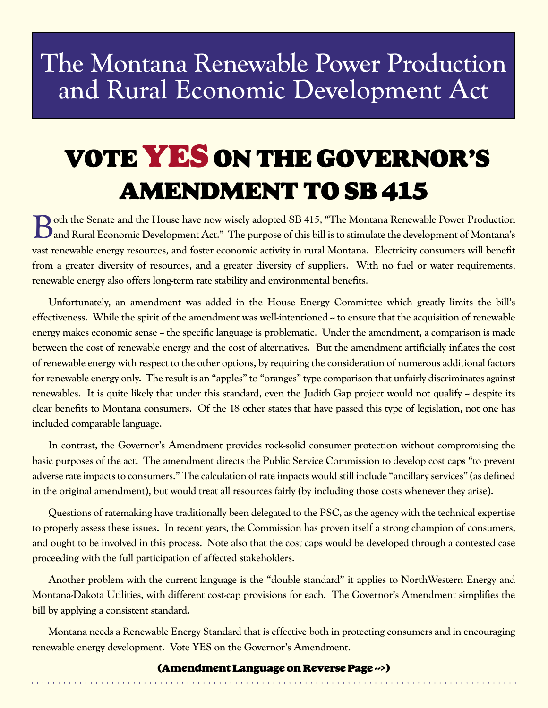### The Montana Renewable Power Production and Rural Economic Development Act

# VOTE YES ON THE GOVERNOR'S AMENDMENT TO SB 415

**D** oth the Senate and the House have now wisely adopted SB 415, "The Montana Renewable Power Production and Rural Economic Development Act." The purpose of this bill is to stimulate the development of Montana's vast renewable energy resources, and foster economic activity in rural Montana. Electricity consumers will benefit from a greater diversity of resources, and a greater diversity of suppliers. With no fuel or water requirements, renewable energy also offers long-term rate stability and environmental benefits.

Unfortunately, an amendment was added in the House Energy Committee which greatly limits the bill's effectiveness. While the spirit of the amendment was well-intentioned - to ensure that the acquisition of renewable energy makes economic sense  $\sim$  the specific language is problematic. Under the amendment, a comparison is made between the cost of renewable energy and the cost of alternatives. But the amendment artificially inflates the cost of renewable energy with respect to the other options, by requiring the consideration of numerous additional factors for renewable energy only. The result is an "apples" to "oranges" type comparison that unfairly discriminates against renewables. It is quite likely that under this standard, even the Judith Gap project would not qualify -- despite its clear benefits to Montana consumers. Of the 18 other states that have passed this type of legislation, not one has included comparable language.

In contrast, the Governor's Amendment provides rock-solid consumer protection without compromising the basic purposes of the act. The amendment directs the Public Service Commission to develop cost caps "to prevent adverse rate impacts to consumers." The calculation of rate impacts would still include "ancillary services" (as defined in the original amendment), but would treat all resources fairly (by including those costs whenever they arise).

Questions of ratemaking have traditionally been delegated to the PSC, as the agency with the technical expertise to properly assess these issues. In recent years, the Commission has proven itself a strong champion of consumers, and ought to be involved in this process. Note also that the cost caps would be developed through a contested case proceeding with the full participation of affected stakeholders.

Another problem with the current language is the "double standard" it applies to NorthWestern Energy and Montana-Dakota Utilities, with different cost-cap provisions for each. The Governor's Amendment simplifies the bill by applying a consistent standard.

Montana needs a Renewable Energy Standard that is effective both in protecting consumers and in encouraging renewable energy development. Vote YES on the Governor's Amendment.

#### (Amendment Language on Reverse Page  $\rightarrow$  )